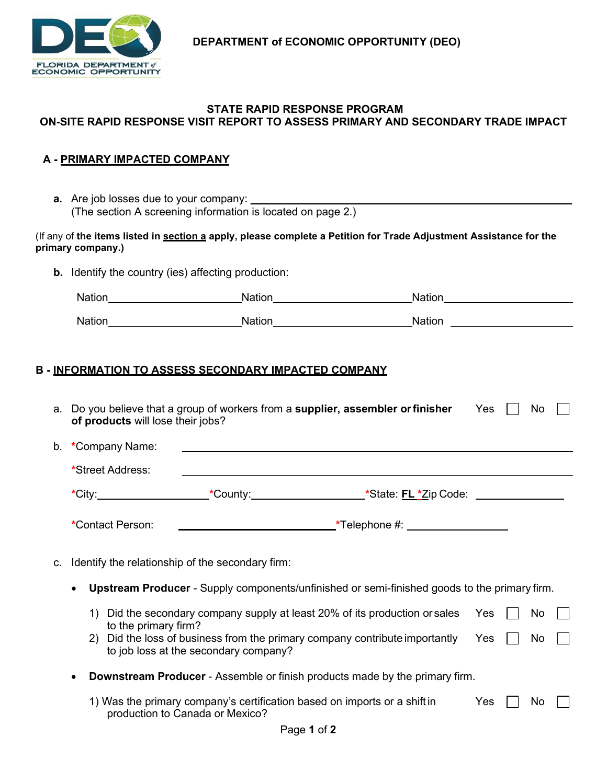

### **STATE RAPID RESPONSE PROGRAM ON-SITE RAPID RESPONSE VISIT REPORT TO ASSESS PRIMARY AND SECONDARY TRADE IMPACT**

## **A - PRIMARY IMPACTED COMPANY**

| <b>a.</b> Are job losses due to your company:               |
|-------------------------------------------------------------|
| (The section A screening information is located on page 2.) |

#### (If any of **the items listed in section a apply, please complete a Petition for Trade Adjustment Assistance for the primary company.)**

**b.** Identify the country (ies) affecting production:

| <b>Nation</b> | ation | <b>Nation</b> |
|---------------|-------|---------------|
| <b>Nation</b> | ati∩n | Nation        |

# **B - INFORMATION TO ASSESS SECONDARY IMPACTED COMPANY**

|    | of products will lose their jobs?                                                                                |                                                                                              | a. Do you believe that a group of workers from a supplier, assembler or finisher Yes                      |     |  | No |  |
|----|------------------------------------------------------------------------------------------------------------------|----------------------------------------------------------------------------------------------|-----------------------------------------------------------------------------------------------------------|-----|--|----|--|
| b. | *Company Name:<br>*Street Address:                                                                               |                                                                                              |                                                                                                           |     |  |    |  |
|    |                                                                                                                  |                                                                                              | *City:_________________________*County:_________________________*State: FL *Zip Code: ___________________ |     |  |    |  |
|    | *Contact Person:                                                                                                 |                                                                                              |                                                                                                           |     |  |    |  |
| C. | Identify the relationship of the secondary firm:                                                                 |                                                                                              |                                                                                                           |     |  |    |  |
|    | <b>Upstream Producer</b> - Supply components/unfinished or semi-finished goods to the primary firm.<br>$\bullet$ |                                                                                              |                                                                                                           |     |  |    |  |
|    | 1)<br>to the primary firm?                                                                                       |                                                                                              | Did the secondary company supply at least 20% of its production or sales Yes                              |     |  | No |  |
|    | 2)                                                                                                               | to job loss at the secondary company?                                                        | Did the loss of business from the primary company contribute importantly Yes                              |     |  | No |  |
|    | <b>Downstream Producer</b> - Assemble or finish products made by the primary firm.<br>٠                          |                                                                                              |                                                                                                           |     |  |    |  |
|    |                                                                                                                  | production to Canada or Mexico?<br>$\mathbf{R}$ . $\mathbf{R}$ . $\mathbf{A}$ . $\mathbf{A}$ | 1) Was the primary company's certification based on imports or a shift in                                 | Yes |  | No |  |